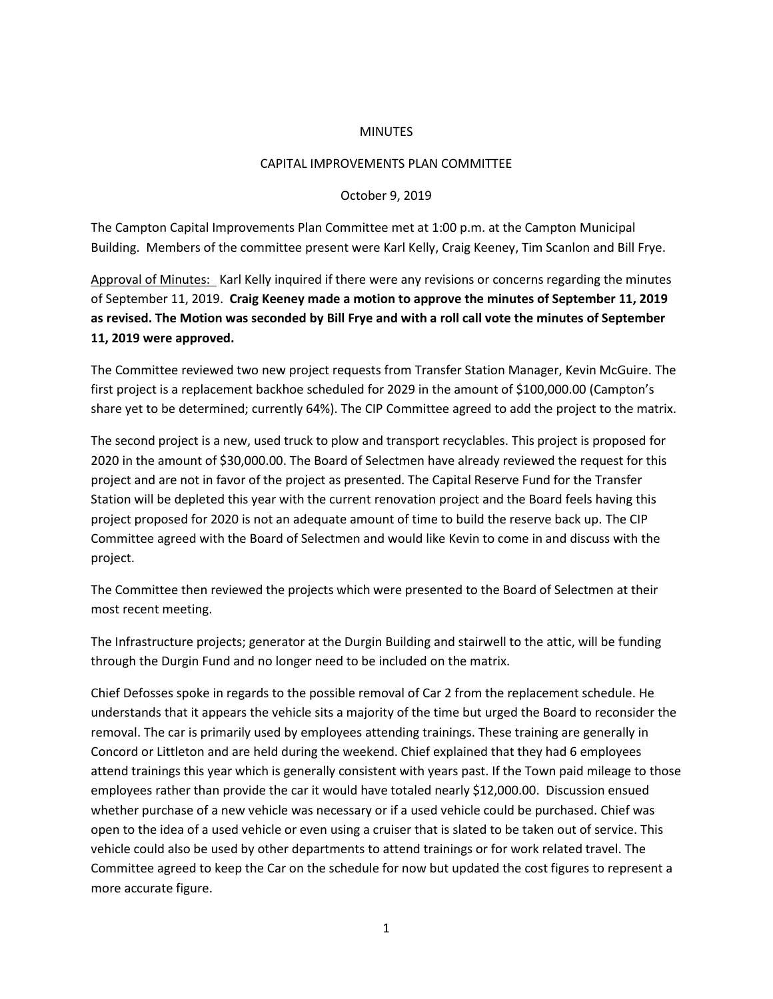## MINUTES

## CAPITAL IMPROVEMENTS PLAN COMMITTEE

## October 9, 2019

The Campton Capital Improvements Plan Committee met at 1:00 p.m. at the Campton Municipal Building. Members of the committee present were Karl Kelly, Craig Keeney, Tim Scanlon and Bill Frye.

Approval of Minutes: Karl Kelly inquired if there were any revisions or concerns regarding the minutes of September 11, 2019. **Craig Keeney made a motion to approve the minutes of September 11, 2019 as revised. The Motion was seconded by Bill Frye and with a roll call vote the minutes of September 11, 2019 were approved.** 

The Committee reviewed two new project requests from Transfer Station Manager, Kevin McGuire. The first project is a replacement backhoe scheduled for 2029 in the amount of \$100,000.00 (Campton's share yet to be determined; currently 64%). The CIP Committee agreed to add the project to the matrix.

The second project is a new, used truck to plow and transport recyclables. This project is proposed for 2020 in the amount of \$30,000.00. The Board of Selectmen have already reviewed the request for this project and are not in favor of the project as presented. The Capital Reserve Fund for the Transfer Station will be depleted this year with the current renovation project and the Board feels having this project proposed for 2020 is not an adequate amount of time to build the reserve back up. The CIP Committee agreed with the Board of Selectmen and would like Kevin to come in and discuss with the project.

The Committee then reviewed the projects which were presented to the Board of Selectmen at their most recent meeting.

The Infrastructure projects; generator at the Durgin Building and stairwell to the attic, will be funding through the Durgin Fund and no longer need to be included on the matrix.

Chief Defosses spoke in regards to the possible removal of Car 2 from the replacement schedule. He understands that it appears the vehicle sits a majority of the time but urged the Board to reconsider the removal. The car is primarily used by employees attending trainings. These training are generally in Concord or Littleton and are held during the weekend. Chief explained that they had 6 employees attend trainings this year which is generally consistent with years past. If the Town paid mileage to those employees rather than provide the car it would have totaled nearly \$12,000.00. Discussion ensued whether purchase of a new vehicle was necessary or if a used vehicle could be purchased. Chief was open to the idea of a used vehicle or even using a cruiser that is slated to be taken out of service. This vehicle could also be used by other departments to attend trainings or for work related travel. The Committee agreed to keep the Car on the schedule for now but updated the cost figures to represent a more accurate figure.